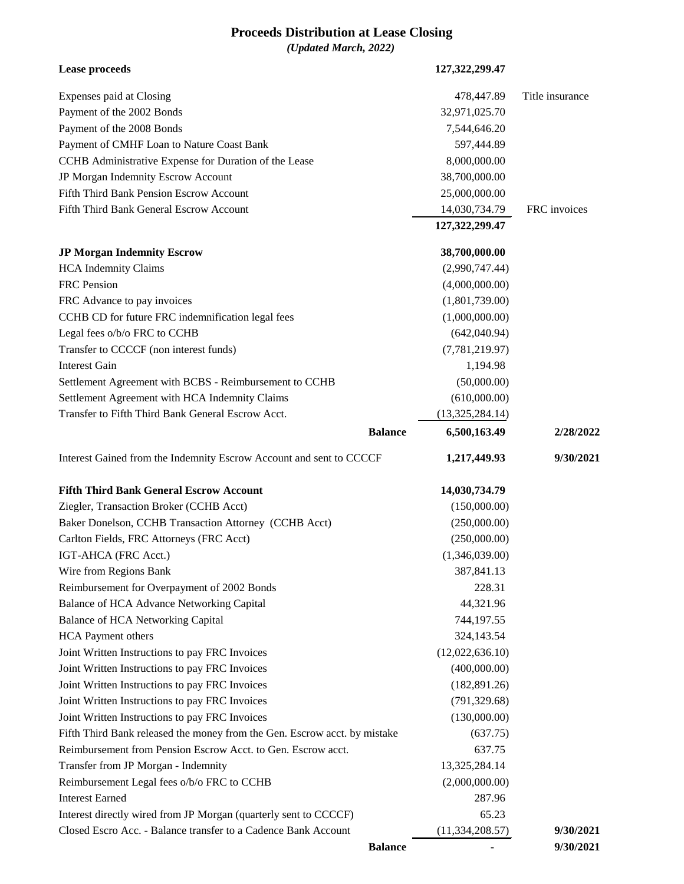## **Proceeds Distribution at Lease Closing**

*(Updated March, 2022)*

| <b>Lease proceeds</b>                                                                                                              |                | 127,322,299.47             |                 |
|------------------------------------------------------------------------------------------------------------------------------------|----------------|----------------------------|-----------------|
| Expenses paid at Closing                                                                                                           |                | 478,447.89                 | Title insurance |
| Payment of the 2002 Bonds                                                                                                          |                | 32,971,025.70              |                 |
| Payment of the 2008 Bonds                                                                                                          |                | 7,544,646.20               |                 |
| Payment of CMHF Loan to Nature Coast Bank                                                                                          |                | 597,444.89                 |                 |
| CCHB Administrative Expense for Duration of the Lease                                                                              |                | 8,000,000.00               |                 |
| JP Morgan Indemnity Escrow Account                                                                                                 |                | 38,700,000.00              |                 |
| Fifth Third Bank Pension Escrow Account                                                                                            |                | 25,000,000.00              |                 |
| Fifth Third Bank General Escrow Account                                                                                            |                | 14,030,734.79              | FRC invoices    |
|                                                                                                                                    |                | 127,322,299.47             |                 |
| <b>JP Morgan Indemnity Escrow</b>                                                                                                  |                | 38,700,000.00              |                 |
| <b>HCA</b> Indemnity Claims                                                                                                        |                | (2,990,747.44)             |                 |
| FRC Pension                                                                                                                        |                | (4,000,000.00)             |                 |
| FRC Advance to pay invoices                                                                                                        |                | (1,801,739.00)             |                 |
| CCHB CD for future FRC indemnification legal fees                                                                                  |                | (1,000,000.00)             |                 |
| Legal fees o/b/o FRC to CCHB                                                                                                       |                | (642,040.94)               |                 |
| Transfer to CCCCF (non interest funds)                                                                                             |                | (7,781,219.97)             |                 |
| <b>Interest Gain</b>                                                                                                               |                | 1,194.98                   |                 |
| Settlement Agreement with BCBS - Reimbursement to CCHB                                                                             |                | (50,000.00)                |                 |
| Settlement Agreement with HCA Indemnity Claims                                                                                     |                | (610,000.00)               |                 |
| Transfer to Fifth Third Bank General Escrow Acct.                                                                                  |                | (13,325,284.14)            |                 |
|                                                                                                                                    | <b>Balance</b> | 6,500,163.49               | 2/28/2022       |
| Interest Gained from the Indemnity Escrow Account and sent to CCCCF                                                                |                | 1,217,449.93               | 9/30/2021       |
| <b>Fifth Third Bank General Escrow Account</b>                                                                                     |                | 14,030,734.79              |                 |
| Ziegler, Transaction Broker (CCHB Acct)                                                                                            |                | (150,000.00)               |                 |
| Baker Donelson, CCHB Transaction Attorney (CCHB Acct)                                                                              |                | (250,000.00)               |                 |
| Carlton Fields, FRC Attorneys (FRC Acct)                                                                                           |                | (250,000.00)               |                 |
| IGT-AHCA (FRC Acct.)                                                                                                               |                | (1,346,039.00)             |                 |
| Wire from Regions Bank                                                                                                             |                | 387,841.13                 |                 |
| Reimbursement for Overpayment of 2002 Bonds                                                                                        |                | 228.31                     |                 |
| Balance of HCA Advance Networking Capital                                                                                          |                | 44,321.96                  |                 |
| Balance of HCA Networking Capital                                                                                                  |                | 744,197.55                 |                 |
| <b>HCA</b> Payment others                                                                                                          |                | 324,143.54                 |                 |
| Joint Written Instructions to pay FRC Invoices                                                                                     |                | (12,022,636.10)            |                 |
| Joint Written Instructions to pay FRC Invoices                                                                                     |                | (400,000.00)               |                 |
| Joint Written Instructions to pay FRC Invoices                                                                                     |                | (182, 891.26)              |                 |
| Joint Written Instructions to pay FRC Invoices                                                                                     |                | (791, 329.68)              |                 |
| Joint Written Instructions to pay FRC Invoices                                                                                     |                | (130,000.00)               |                 |
|                                                                                                                                    |                |                            |                 |
|                                                                                                                                    |                |                            |                 |
| Fifth Third Bank released the money from the Gen. Escrow acct. by mistake                                                          |                | (637.75)                   |                 |
| Reimbursement from Pension Escrow Acct. to Gen. Escrow acct.                                                                       |                | 637.75                     |                 |
| Transfer from JP Morgan - Indemnity                                                                                                |                | 13,325,284.14              |                 |
| Reimbursement Legal fees o/b/o FRC to CCHB                                                                                         |                | (2,000,000.00)             |                 |
| <b>Interest Earned</b>                                                                                                             |                | 287.96                     |                 |
| Interest directly wired from JP Morgan (quarterly sent to CCCCF)<br>Closed Escro Acc. - Balance transfer to a Cadence Bank Account |                | 65.23<br>(11, 334, 208.57) | 9/30/2021       |